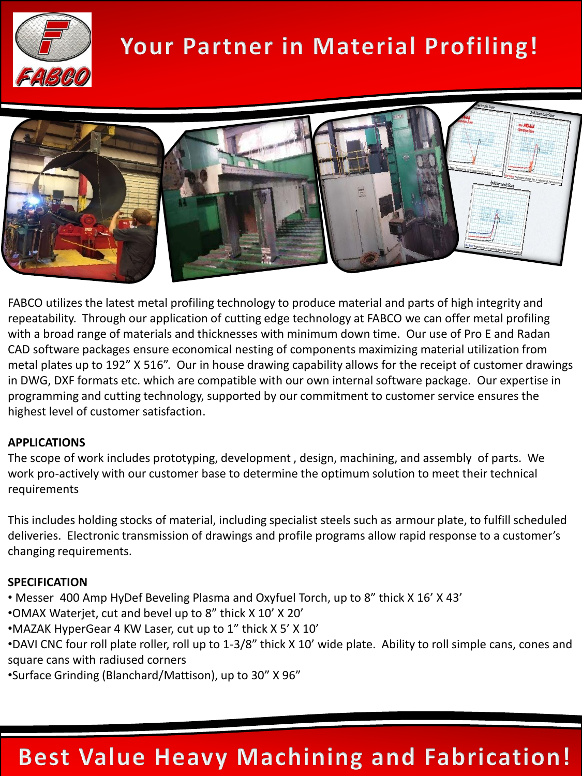

# Your Partner in Material Profiling!



FABCO utilizes the latest metal profiling technology to produce material and parts of high integrity and repeatability. Through our application of cutting edge technology at FABCO we can offer metal profiling with a broad range of materials and thicknesses with minimum down time. Our use of Pro E and Radan CAD software packages ensure economical nesting of components maximizing material utilization from metal plates up to 192" X 516". Our in house drawing capability allows for the receipt of customer drawings in DWG, DXF formats etc. which are compatible with our own internal software package. Our expertise in programming and cutting technology, supported by our commitment to customer service ensures the highest level of customer satisfaction.

#### **APPLICATIONS**

The scope of work includes prototyping, development , design, machining, and assembly of parts. We work pro-actively with our customer base to determine the optimum solution to meet their technical requirements

This includes holding stocks of material, including specialist steels such as armour plate, to fulfill scheduled deliveries. Electronic transmission of drawings and profile programs allow rapid response to a customer's changing requirements.

#### **SPECIFICATION**

- Messer 400 Amp HyDef Beveling Plasma and Oxyfuel Torch, up to 8" thick X 16' X 43'
- •OMAX Waterjet, cut and bevel up to 8" thick X 10' X 20'
- •MAZAK HyperGear 4 KW Laser, cut up to 1" thick X 5' X 10'
- •DAVI CNC four roll plate roller, roll up to 1-3/8" thick X 10' wide plate. Ability to roll simple cans, cones and square cans with radiused corners
- •Surface Grinding (Blanchard/Mattison), up to 30" X 96"

### **Best Value Heavy Machining and Fabrication!**